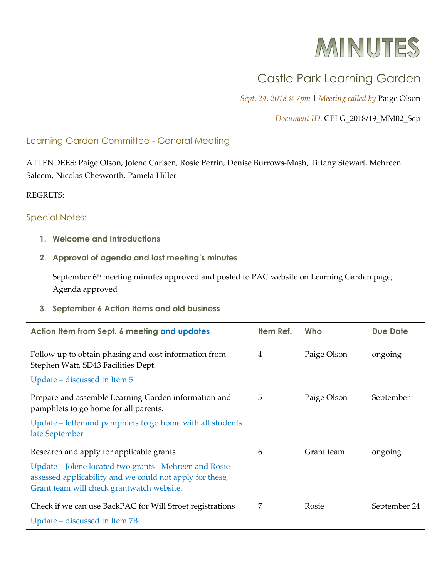# MINUTES

## Castle Park Learning Garden

*Sept. 24, 2018 @ 7pm* | *Meeting called by* Paige Olson

#### *Document ID*: CPLG\_2018/19\_MM02\_Sep

#### Learning Garden Committee - General Meeting

ATTENDEES: Paige Olson, Jolene Carlsen, Rosie Perrin, Denise Burrows-Mash, Tiffany Stewart, Mehreen Saleem, Nicolas Chesworth, Pamela Hiller

REGRETS:

#### Special Notes:

- **1. Welcome and Introductions**
- **2. Approval of agenda and last meeting's minutes**

September 6<sup>th</sup> meeting minutes approved and posted to PAC website on Learning Garden page; Agenda approved

**3. September 6 Action Items and old business**

| Action Item from Sept. 6 meeting and updates                                                                                                                    | Item Ref. | Who         | <b>Due Date</b> |
|-----------------------------------------------------------------------------------------------------------------------------------------------------------------|-----------|-------------|-----------------|
| Follow up to obtain phasing and cost information from<br>Stephen Watt, SD43 Facilities Dept.                                                                    | 4         | Paige Olson | ongoing         |
| Update – discussed in Item 5                                                                                                                                    |           |             |                 |
| Prepare and assemble Learning Garden information and<br>pamphlets to go home for all parents.                                                                   | 5         | Paige Olson | September       |
| Update – letter and pamphlets to go home with all students<br>late September                                                                                    |           |             |                 |
| Research and apply for applicable grants                                                                                                                        | 6         | Grant team  | ongoing         |
| Update – Jolene located two grants - Mehreen and Rosie<br>assessed applicability and we could not apply for these,<br>Grant team will check grantwatch website. |           |             |                 |
| Check if we can use BackPAC for Will Stroet registrations                                                                                                       | 7         | Rosie       | September 24    |
| Update – discussed in Item 7B                                                                                                                                   |           |             |                 |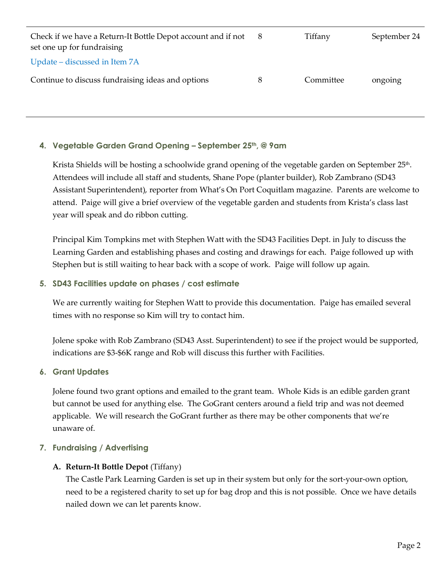| Check if we have a Return-It Bottle Depot account and if not<br>set one up for fundraising | 8 | Tiffany   | September 24 |
|--------------------------------------------------------------------------------------------|---|-----------|--------------|
| Update – discussed in Item 7A                                                              |   |           |              |
| Continue to discuss fundraising ideas and options                                          | 8 | Committee | ongoing      |

#### **4. Vegetable Garden Grand Opening – September 25th, @ 9am**

Krista Shields will be hosting a schoolwide grand opening of the vegetable garden on September 25<sup>th</sup>. Attendees will include all staff and students, Shane Pope (planter builder), Rob Zambrano (SD43 Assistant Superintendent), reporter from What's On Port Coquitlam magazine. Parents are welcome to attend. Paige will give a brief overview of the vegetable garden and students from Krista's class last year will speak and do ribbon cutting.

Principal Kim Tompkins met with Stephen Watt with the SD43 Facilities Dept. in July to discuss the Learning Garden and establishing phases and costing and drawings for each. Paige followed up with Stephen but is still waiting to hear back with a scope of work. Paige will follow up again.

#### **5. SD43 Facilities update on phases / cost estimate**

We are currently waiting for Stephen Watt to provide this documentation. Paige has emailed several times with no response so Kim will try to contact him.

Jolene spoke with Rob Zambrano (SD43 Asst. Superintendent) to see if the project would be supported, indications are \$3-\$6K range and Rob will discuss this further with Facilities.

#### **6. Grant Updates**

Jolene found two grant options and emailed to the grant team. Whole Kids is an edible garden grant but cannot be used for anything else. The GoGrant centers around a field trip and was not deemed applicable. We will research the GoGrant further as there may be other components that we're unaware of.

#### **7. Fundraising / Advertising**

#### **A. Return-It Bottle Depot** (Tiffany)

The Castle Park Learning Garden is set up in their system but only for the sort-your-own option, need to be a registered charity to set up for bag drop and this is not possible. Once we have details nailed down we can let parents know.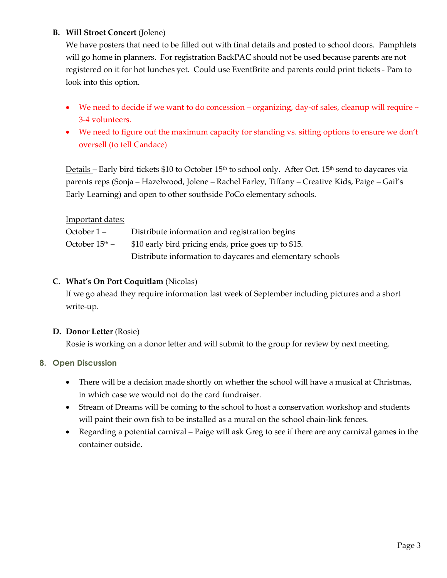#### **B. Will Stroet Concert** (Jolene)

We have posters that need to be filled out with final details and posted to school doors. Pamphlets will go home in planners. For registration BackPAC should not be used because parents are not registered on it for hot lunches yet. Could use EventBrite and parents could print tickets - Pam to look into this option.

- We need to decide if we want to do concession organizing, day-of sales, cleanup will require  $\sim$ 3-4 volunteers.
- We need to figure out the maximum capacity for standing vs. sitting options to ensure we don't oversell (to tell Candace)

Details – Early bird tickets \$10 to October  $15<sup>th</sup>$  to school only. After Oct.  $15<sup>th</sup>$  send to daycares via parents reps (Sonja – Hazelwood, Jolene – Rachel Farley, Tiffany – Creative Kids, Paige – Gail's Early Learning) and open to other southside PoCo elementary schools.

#### **Important dates:**

| October 1 –                | Distribute information and registration begins            |
|----------------------------|-----------------------------------------------------------|
| October 15 <sup>th</sup> – | \$10 early bird pricing ends, price goes up to \$15.      |
|                            | Distribute information to daycares and elementary schools |

#### **C. What's On Port Coquitlam** (Nicolas)

If we go ahead they require information last week of September including pictures and a short write-up.

#### **D. Donor Letter** (Rosie)

Rosie is working on a donor letter and will submit to the group for review by next meeting.

#### **8. Open Discussion**

- There will be a decision made shortly on whether the school will have a musical at Christmas, in which case we would not do the card fundraiser.
- Stream of Dreams will be coming to the school to host a conservation workshop and students will paint their own fish to be installed as a mural on the school chain-link fences.
- Regarding a potential carnival Paige will ask Greg to see if there are any carnival games in the container outside.